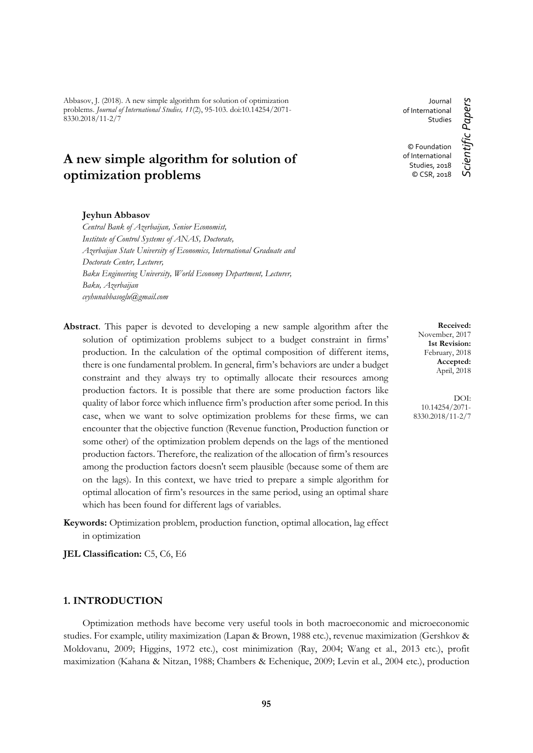Abbasov, J. (2018). A new simple algorithm for solution of optimization problems. *Journal of International Studies, 11*(2), 95-103. doi:10.14254/2071- 8330.2018/11-2/7

# **A new simple algorithm for solution of optimization problems**

#### **Jeyhun Abbasov**

*Central Bank of Azerbaijan, Senior Economist, Institute of Control Systems of ANAS, Doctorate, Azerbaijan State University of Economics, International Graduate and Doctorate Center, Lecturer, Baku Engineering University, World Economy Department, Lecturer, Baku, Azerbaijan ceyhunabbasoglu@gmail.com*

- **Abstract**. This paper is devoted to developing a new sample algorithm after the solution of optimization problems subject to a budget constraint in firms' production. In the calculation of the optimal composition of different items, there is one fundamental problem. In general, firm's behaviors are under a budget constraint and they always try to optimally allocate their resources among production factors. It is possible that there are some production factors like quality of labor force which influence firm's production after some period. In this case, when we want to solve optimization problems for these firms, we can encounter that the objective function (Revenue function, Production function or some other) of the optimization problem depends on the lags of the mentioned production factors. Therefore, the realization of the allocation of firm's resources among the production factors doesn't seem plausible (because some of them are on the lags). In this context, we have tried to prepare a simple algorithm for optimal allocation of firm's resources in the same period, using an optimal share which has been found for different lags of variables.
- **Keywords:** Optimization problem, production function, optimal allocation, lag effect in optimization

**JEL Classification:** C5, C6, E6

## **1. INTRODUCTION**

Optimization methods have become very useful tools in both macroeconomic and microeconomic studies. For example, utility maximization (Lapan & Brown, 1988 etc.), revenue maximization (Gershkov & Moldovanu, 2009; Higgins, 1972 etc.), cost minimization (Ray, 2004; Wang et al., 2013 etc.), profit maximization (Kahana & Nitzan, 1988; Chambers & Echenique, 2009; Levin et al., 2004 etc.), production

Journal of International Studies © Foundation of International Studies, 2018

© CSR, 2018

Scientific Papers *Scientific Papers*

**Received:** November, 2017 **1st Revision:** February, 2018 **Accepted:** April, 2018

DOI: 10.14254/2071- 8330.2018/11-2/7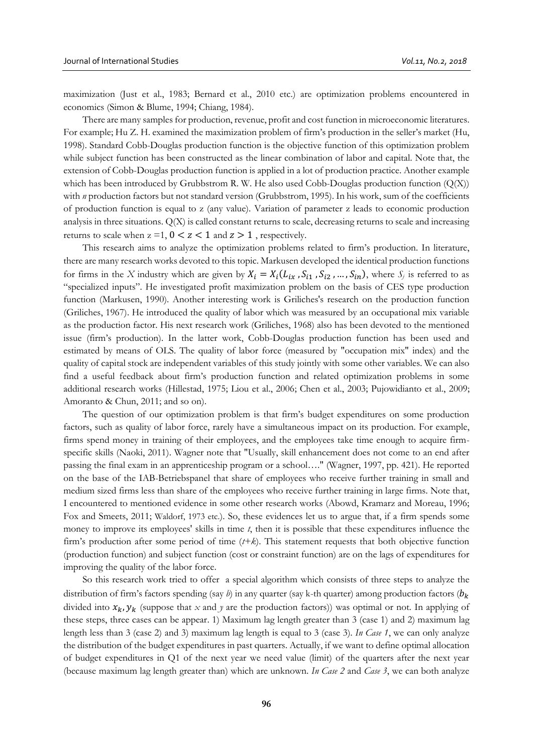maximization (Just et al., 1983; Bernard et al., 2010 etc.) are optimization problems encountered in economics (Simon & Blume, 1994; Chiang, 1984).

There are many samples for production, revenue, profit and cost function in microeconomic literatures. For example; Hu Z. H. examined the maximization problem of firm's production in the seller's market (Hu, 1998). Standard Cobb-Douglas production function is the objective function of this optimization problem while subject function has been constructed as the linear combination of labor and capital. Note that, the extension of Cobb-Douglas production function is applied in a lot of production practice. Another example which has been introduced by Grubbstrom R. W. He also used Cobb-Douglas production function  $(Q(X))$ with *n* production factors but not standard version (Grubbstrom, 1995). In his work, sum of the coefficients of production function is equal to z (any value). Variation of parameter z leads to economic production analysis in three situations. Q(X) is called constant returns to scale, decreasing returns to scale and increasing returns to scale when  $z = 1$ ,  $0 < z < 1$  and  $z > 1$ , respectively.

This research aims to analyze the optimization problems related to firm's production. In literature, there are many research works devoted to this topic. Markusen developed the identical production functions for firms in the *X* industry which are given by  $X_i = X_i(L_{ix}, S_{i1}, S_{i2}, ..., S_{in})$ , where  $S_j$  is referred to as "specialized inputs". He investigated profit maximization problem on the basis of CES type production function (Markusen, 1990). Another interesting work is Griliches's research on the production function (Griliches, 1967). He introduced the quality of labor which was measured by an occupational mix variable as the production factor. His next research work (Griliches, 1968) also has been devoted to the mentioned issue (firm's production). In the latter work, Cobb-Douglas production function has been used and estimated by means of OLS. The quality of labor force (measured by "occupation mix" index) and the quality of capital stock are independent variables of this study jointly with some other variables. We can also find a useful feedback about firm's production function and related optimization problems in some additional research works (Hillestad, 1975; Liou et al., 2006; Chen et al., 2003; Pujowidianto et al., 2009; Amoranto & Chun, 2011; and so on).

The question of our optimization problem is that firm's budget expenditures on some production factors, such as quality of labor force, rarely have a simultaneous impact on its production. For example, firms spend money in training of their employees, and the employees take time enough to acquire firmspecific skills (Naoki, 2011). Wagner note that "Usually, skill enhancement does not come to an end after passing the final exam in an apprenticeship program or a school…." (Wagner, 1997, pp. 421). He reported on the base of the IAB-Betriebspanel that share of employees who receive further training in small and medium sized firms less than share of the employees who receive further training in large firms. Note that, I encountered to mentioned evidence in some other research works (Abowd, Kramarz and Moreau, 1996; Fox and Smeets, 2011; Waldorf, 1973 etc.). So, these evidences let us to argue that, if a firm spends some money to improve its employees' skills in time *t*, then it is possible that these expenditures influence the firm's production after some period of time (*t+k*). This statement requests that both objective function (production function) and subject function (cost or constraint function) are on the lags of expenditures for improving the quality of the labor force.

So this research work tried to offer a special algorithm which consists of three steps to analyze the distribution of firm's factors spending (say *b*) in any quarter (say k-th quarter) among production factors ( $b_k$ ) divided into  $x_k$ ,  $y_k$  (suppose that x and y are the production factors)) was optimal or not. In applying of these steps, three cases can be appear. 1) Maximum lag length greater than 3 (case 1) and 2) maximum lag length less than 3 (case 2) and 3) maximum lag length is equal to 3 (case 3). *In Case 1*, we can only analyze the distribution of the budget expenditures in past quarters. Actually, if we want to define optimal allocation of budget expenditures in Q1 of the next year we need value (limit) of the quarters after the next year (because maximum lag length greater than) which are unknown. *In Case 2* and *Case 3*, we can both analyze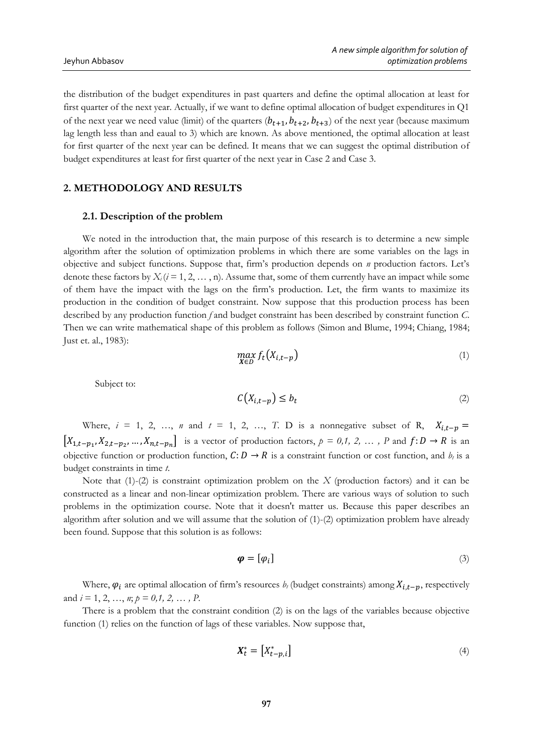the distribution of the budget expenditures in past quarters and define the optimal allocation at least for first quarter of the next year. Actually, if we want to define optimal allocation of budget expenditures in Q1 of the next year we need value (limit) of the quarters  $(b_{t+1}, b_{t+2}, b_{t+3})$  of the next year (because maximum lag length less than and eaual to 3) which are known. As above mentioned, the optimal allocation at least for first quarter of the next year can be defined. It means that we can suggest the optimal distribution of budget expenditures at least for first quarter of the next year in Case 2 and Case 3.

### **2. METHODOLOGY AND RESULTS**

#### **2.1. Description of the problem**

We noted in the introduction that, the main purpose of this research is to determine a new simple algorithm after the solution of optimization problems in which there are some variables on the lags in objective and subject functions. Suppose that, firm's production depends on *n* production factors. Let's denote these factors by  $X_i$  ( $i = 1, 2, ..., n$ ). Assume that, some of them currently have an impact while some of them have the impact with the lags on the firm's production. Let, the firm wants to maximize its production in the condition of budget constraint. Now suppose that this production process has been described by any production function *f* and budget constraint has been described by constraint function *C*. Then we can write mathematical shape of this problem as follows (Simon and Blume, 1994; Chiang, 1984; Just et. al., 1983):

$$
\max_{X \in D} f_t(X_{i,t-p}) \tag{1}
$$

Subject to:

$$
C(X_{i,t-p}) \le b_t \tag{2}
$$

Where,  $i = 1, 2, ..., n$  and  $t = 1, 2, ..., T$ . D is a nonnegative subset of R,  $X_{i,t-p} =$  $[X_{1,t-p_1}, X_{2,t-p_2}, ..., X_{n,t-p_n}]$  is a vector of production factors,  $p = 0,1, 2, ..., P$  and  $f: D \to R$  is an objective function or production function,  $C: D \to R$  is a constraint function or cost function, and  $b_t$  is a budget constraints in time *t*.

Note that (1)-(2) is constraint optimization problem on the *X* (production factors) and it can be constructed as a linear and non-linear optimization problem. There are various ways of solution to such problems in the optimization course. Note that it doesn't matter us. Because this paper describes an algorithm after solution and we will assume that the solution of  $(1)-(2)$  optimization problem have already been found. Suppose that this solution is as follows:

$$
\boldsymbol{\varphi} = [\varphi_i] \tag{3}
$$

Where,  $\varphi_i$  are optimal allocation of firm's resources  $b_t$  (budget constraints) among  $X_{i,t-n}$ , respectively and *i* = 1, 2, …, *n*; *p = 0,1, 2, … , P*.

There is a problem that the constraint condition (2) is on the lags of the variables because objective function (1) relies on the function of lags of these variables. Now suppose that,

$$
\boldsymbol{X}_t^* = \begin{bmatrix} X_{t-p,i}^* \end{bmatrix} \tag{4}
$$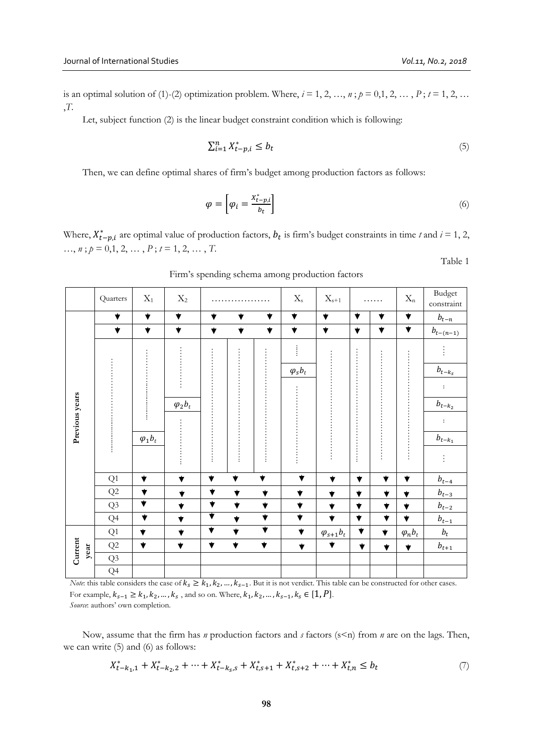Table 1

is an optimal solution of (1)-(2) optimization problem. Where,  $i = 1, 2, ..., n$ ;  $p = 0, 1, 2, ..., P$ ;  $t = 1, 2, ...$ ,*T*.

Let, subject function (2) is the linear budget constraint condition which is following:

$$
\sum_{i=1}^{n} X_{t-p,i}^{*} \le b_{t} \tag{5}
$$

Then, we can define optimal shares of firm's budget among production factors as follows:

$$
\varphi = \left[ \varphi_i = \frac{x_{t-p,i}^*}{b_t} \right] \tag{6}
$$

Where,  $X_{t-p,i}^{*}$  are optimal value of production factors,  $b_t$  is firm's budget constraints in time *t* and  $i = 1, 2$ ,  $\ldots$ , *n*; *p* = 0,1, 2,  $\ldots$ , *P*; *t* = 1, 2,  $\ldots$ , *T*.

|                 | Quarters             | $X_1$                           | $X_2$                           |                                 |                         |                                 | $X_{\hbox{\tiny S}}$            | $\mathbf{X}_{s+1}$   |                         | .                       | $X_{\boldsymbol{n}}$ | <b>Budget</b><br>constraint |
|-----------------|----------------------|---------------------------------|---------------------------------|---------------------------------|-------------------------|---------------------------------|---------------------------------|----------------------|-------------------------|-------------------------|----------------------|-----------------------------|
| Previous years  | $\blacktriangledown$ | $\blacktriangledown$            | $\blacktriangledown$            | $\blacktriangledown$            | $\blacktriangledown$    | $\blacktriangledown$            | $\blacktriangledown$            | $\blacktriangledown$ | $\blacktriangledown$    | $\blacktriangledown$    | ▼                    | $b_{t-\underline{n}}$       |
|                 | $\blacktriangledown$ | $\blacktriangledown$            | $\blacktriangledown$            | $\blacktriangledown$            | $\blacktriangledown$    | $\blacktriangledown$            | $\blacktriangledown$            | $\blacktriangledown$ | $\blacktriangledown$    | $\blacktriangledown$    | $\blacktriangledown$ | $b_{t-(n-1)}$               |
|                 |                      |                                 |                                 |                                 |                         |                                 | Î                               |                      |                         |                         |                      |                             |
|                 |                      |                                 |                                 |                                 |                         |                                 | $\varphi_s b_t$                 |                      |                         |                         |                      | $b_{t-k_s}$                 |
|                 |                      |                                 |                                 |                                 |                         |                                 |                                 |                      |                         |                         |                      | $\colon$                    |
|                 |                      |                                 | $\varphi_2 b_t$                 |                                 |                         |                                 |                                 |                      |                         |                         |                      | $b_{t-k_2}$                 |
|                 |                      |                                 |                                 |                                 |                         |                                 |                                 |                      |                         |                         |                      | $\colon$                    |
|                 |                      | $\varphi_1 b_t$                 |                                 |                                 |                         |                                 |                                 |                      |                         |                         |                      | $b_{t-k_{\perp}}$           |
|                 |                      |                                 |                                 |                                 |                         |                                 |                                 |                      |                         |                         |                      |                             |
|                 | Q1                   | $\blacktriangledown$            | $\blacktriangledown$            | $\overline{\blacktriangledown}$ | $\blacktriangledown$    | $\blacktriangledown$            | $\blacktriangledown$            | $\blacktriangledown$ | $\blacktriangledown$    | $\blacktriangledown$    | $\blacktriangledown$ | $b_{t-4}$                   |
|                 | Q2                   | $\blacktriangledown$            | ▼                               | $\blacktriangledown$            | $\blacktriangledown$    | $\overline{\blacktriangledown}$ | $\blacktriangledown$            | ▼                    | $\bigstar$              | $\blacktriangledown$    | $\blacktriangledown$ | $b_{t-3}$                   |
|                 | Q3                   | $\overline{\blacktriangledown}$ | $\overline{\blacktriangledown}$ | $\overline{\blacktriangledown}$ | $\blacktriangledown$    | $\overline{\mathbf{v}}$         | $\blacktriangledown$            | $\blacktriangledown$ | $\overline{\textbf{v}}$ | $\overline{\mathbf{v}}$ | $\blacktriangledown$ | $b_{t-2}$                   |
|                 | Q <sub>4</sub>       | $\overline{\blacktriangledown}$ | $\blacktriangledown$            | $\overline{\blacktriangledown}$ | $\overline{\mathbf{v}}$ | $\overline{\blacktriangledown}$ | $\overline{\blacktriangledown}$ | $\blacktriangledown$ | $\blacktriangledown$    | $\blacktriangledown$    | $\blacktriangledown$ | $b_{t-1}$                   |
| Current<br>year | Q1                   | $\blacktriangledown$            | $\blacktriangledown$            | $\overline{\textbf{v}}$         | $\blacktriangledown$    | $\overline{\blacktriangledown}$ | $\blacktriangledown$            | $\varphi_{s+1}b_t$   | $\blacktriangledown$    | $\blacktriangledown$    | $\varphi_n b_t$      | $b_t$                       |
|                 | $\mathrm{Q}2$        | $\blacktriangledown$            | $\overline{\blacktriangledown}$ | $\blacktriangledown$            | $\blacktriangledown$    | $\blacktriangledown$            | $\blacktriangledown$            | $\blacktriangledown$ | $\blacktriangledown$    | $\blacktriangledown$    | $\blacktriangledown$ | $b_{t+1}$                   |
|                 | Q3                   |                                 |                                 |                                 |                         |                                 |                                 |                      |                         |                         |                      |                             |
|                 | Q4                   |                                 |                                 |                                 |                         |                                 |                                 |                      |                         |                         |                      |                             |

Firm's spending schema among production factors

*Note*: this table considers the case of  $k_s \geq k_1, k_2, ..., k_{s-1}$ . But it is not verdict. This table can be constructed for other cases. For example,  $k_{s-1} \ge k_1, k_2, ..., k_s$  , and so on. Where,  $k_1, k_2, ..., k_{s-1}, k_s \in [1, P]$ . *Source*: authors' own completion.

Now, assume that the firm has *n* production factors and *s* factors (s<n) from *n* are on the lags. Then, we can write (5) and (6) as follows:

$$
X_{t-k_1,1}^* + X_{t-k_2,2}^* + \dots + X_{t-k_s,s}^* + X_{t,s+1}^* + X_{t,s+2}^* + \dots + X_{t,n}^* \le b_t
$$
\n
$$
\tag{7}
$$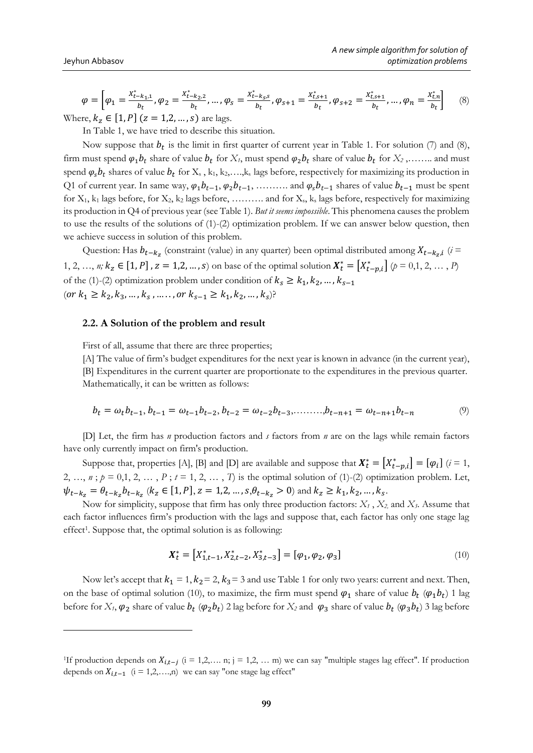<u>.</u>

$$
\varphi = \left[\varphi_1 = \frac{X_{t-k_1,1}^*}{b_t}, \varphi_2 = \frac{X_{t-k_2,2}^*}{b_t}, \dots, \varphi_s = \frac{X_{t-k_2,2}^*}{b_t}, \varphi_{s+1} = \frac{X_{t,s+1}^*}{b_t}, \varphi_{s+2} = \frac{X_{t,s+1}^*}{b_t}, \dots, \varphi_n = \frac{X_{t,n}^*}{b_t}\right]
$$
(8)

Where,  $k_z \in [1, P]$  ( $z = 1, 2, ..., s$ ) are lags.

In Table 1, we have tried to describe this situation.

Now suppose that  $b_t$  is the limit in first quarter of current year in Table 1. For solution (7) and (8), firm must spend  $\varphi_1 b_t$  share of value  $b_t$  for  $X_t$ , must spend  $\varphi_2 b_t$  share of value  $b_t$  for  $X_2$ ,........ and must spend  $\varphi_s b_t$  shares of value  $b_t$  for  $\mathrm{X}_s$ ,  $k_1, k_2, \ldots, k_s$  lags before, respectively for maximizing its production in Q1 of current year. In same way,  $\varphi_1 b_{t-1}, \varphi_2 b_{t-1}, \ldots$  and  $\varphi_s b_{t-1}$  shares of value  $b_{t-1}$  must be spent for  $X_1$ ,  $k_1$  lags before, for  $X_2$ ,  $k_2$  lags before, ......... and for  $X_3$ ,  $k_5$  lags before, respectively for maximizing its production in Q4 of previous year (see Table 1). *But it seems impossible*. This phenomena causes the problem to use the results of the solutions of (1)-(2) optimization problem. If we can answer below question, then we achieve success in solution of this problem.

Question: Has  $b_{t-k_z}$  (constraint (value) in any quarter) been optimal distributed among  $X_{t-k_z,i}$  ( $i =$ 1, 2, …, *n*;  $k_z \in [1, P]$ ,  $z = 1, 2, ..., s$  on base of the optimal solution  $X_t^* = [X_{t-p,i}^*]$  ( $p = 0, 1, 2, ..., P$ ) of the (1)-(2) optimization problem under condition of  $k_s \geq k_1, k_2, ..., k_{s-1}$  $(or k_1 \ge k_2, k_3, ..., k_s, ..., or k_{s-1} \ge k_1, k_2, ..., k_s)?$ 

#### **2.2. A Solution of the problem and result**

First of all, assume that there are three properties;

[A] The value of firm's budget expenditures for the next year is known in advance (in the current year),

[B] Expenditures in the current quarter are proportionate to the expenditures in the previous quarter. Mathematically, it can be written as follows:

$$
b_t = \omega_t b_{t-1}, b_{t-1} = \omega_{t-1} b_{t-2}, b_{t-2} = \omega_{t-2} b_{t-3}, \dots, b_{t-n+1} = \omega_{t-n+1} b_{t-n} \tag{9}
$$

[D] Let, the firm has *n* production factors and *s* factors from *n* are on the lags while remain factors have only currently impact on firm's production.

Suppose that, properties [A], [B] and [D] are available and suppose that  $\mathbf{X}_t^* = [X_{t-p,i}^*] = [\varphi_i]$  ( $i = 1$ , 2, …,  $n$ ;  $p = 0,1, 2, ..., P$ ;  $t = 1, 2, ..., T$  is the optimal solution of (1)-(2) optimization problem. Let,  $\psi_{t-k_z} = \theta_{t-k_z} b_{t-k_z}$  ( $k_z \in [1, P]$ ,  $z = 1, 2, ..., s$ ,  $\theta_{t-k_z} > 0$ ) and  $k_z \ge k_1, k_2, ..., k_s$ .

Now for simplicity, suppose that firm has only three production factors: *X<sup>1</sup>* , *X2,* and *X3*. Assume that each factor influences firm's production with the lags and suppose that, each factor has only one stage lag effect<sup>1</sup>. Suppose that, the optimal solution is as following:

$$
\boldsymbol{X}_t^* = \left[ X_{1,t-1}^*, X_{2,t-2}^*, X_{3,t-3}^* \right] = \left[ \varphi_1, \varphi_2, \varphi_3 \right] \tag{10}
$$

Now let's accept that  $k_1 = 1$ ,  $k_2 = 2$ ,  $k_3 = 3$  and use Table 1 for only two years: current and next. Then, on the base of optimal solution (10), to maximize, the firm must spend  $\varphi_1$  share of value  $b_t$  ( $\varphi_1 b_t$ ) 1 lag before for  $X_t$ ,  $\varphi_2$  share of value  $b_t$  ( $\varphi_2 b_t$ ) 2 lag before for  $X_2$  and  $\varphi_3$  share of value  $b_t$  ( $\varphi_3 b_t$ ) 3 lag before

<sup>&</sup>lt;sup>1</sup>If production depends on  $X_{i,t-j}$  (i = 1,2, … n; j = 1,2, … m) we can say "multiple stages lag effect". If production depends on  $X_{i,t-1}$  (i = 1,2,…,n) we can say "one stage lag effect"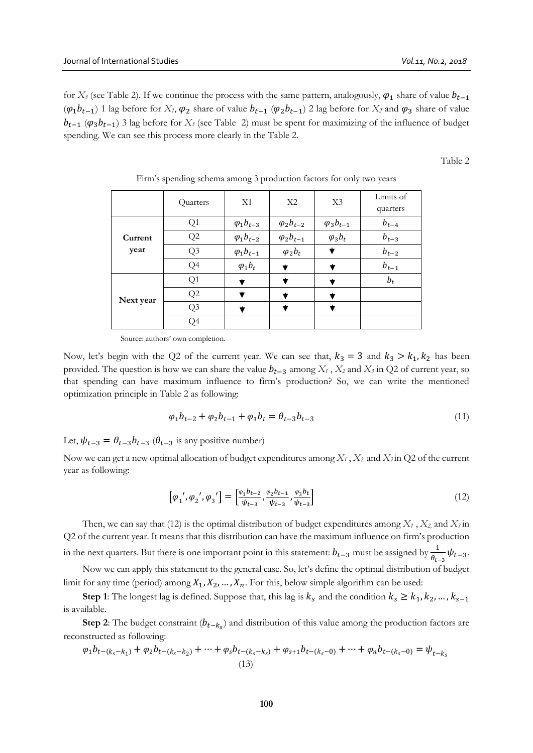for *X<sub>3</sub>* (see Table 2). If we continue the process with the same pattern, analogously,  $\varphi_1$  share of value  $b_{t-1}$  $(\varphi_1 b_{t-1})$  1 lag before for *X<sub>1</sub>*,  $\varphi_2$  share of value  $b_{t-1}$  ( $\varphi_2 b_{t-1}$ ) 2 lag before for *X<sub>2</sub>* and  $\varphi_3$  share of value  $b_{t-1}$  ( $\varphi_3 b_{t-1}$ ) 3 lag before for *X<sub>3</sub>* (see Table 2) must be spent for maximizing of the influence of budget spending. We can see this process more clearly in the Table 2.

Table 2

|                 | Quarters       | X1                  | X2                  | X3                  | Limits of<br>quarters |
|-----------------|----------------|---------------------|---------------------|---------------------|-----------------------|
|                 | Q1             | $\varphi_1 b_{t-3}$ | $\varphi_2 b_{t-2}$ | $\varphi_3 b_{t-1}$ | $b_{t-4}$             |
| Current<br>year | Q2             | $\varphi_1 b_{t-2}$ | $\varphi_2 b_{t-1}$ | $\varphi_3 b_t$     | $b_{t-3}$             |
|                 | Q3             | $\varphi_1 b_{t-1}$ | $\varphi_2 b_t$     |                     | $b_{t-2}$             |
|                 | Q <sub>4</sub> | $\varphi_1 b_t$     |                     |                     | $b_{t-1}$             |
|                 | Q1             |                     |                     |                     | $b_t$                 |
| Next year       | Q2             |                     |                     |                     |                       |
|                 | Q3             |                     |                     |                     |                       |
|                 | Q4             |                     |                     |                     |                       |

Firm's spending schema among 3 production factors for only two years

Source: authors' own completion.

Now, let's begin with the Q2 of the current year. We can see that,  $k_3 = 3$  and  $k_3 > k_1, k_2$  has been provided. The question is how we can share the value  $b_{t-3}$  among  $X_t$ ,  $X_2$  and  $X_3$  in Q2 of current year, so that spending can have maximum influence to firm's production? So, we can write the mentioned optimization principle in Table 2 as following:

$$
\varphi_1 b_{t-2} + \varphi_2 b_{t-1} + \varphi_3 b_t = \theta_{t-3} b_{t-3} \tag{11}
$$

Let,  $\psi_{t-3} = \theta_{t-3} b_{t-3}$  ( $\theta_{t-3}$  is any positive number)

Now we can get a new optimal allocation of budget expenditures among *X<sup>1</sup>* , *X2,* and *X3* in Q2 of the current year as following:

$$
\left[\varphi_1', \varphi_2', \varphi_3'\right] = \left[\frac{\varphi_1 b_{t-2}}{\psi_{t-3}}, \frac{\varphi_2 b_{t-1}}{\psi_{t-3}}, \frac{\varphi_3 b_t}{\psi_{t-3}}\right]
$$
\n(12)

Then, we can say that (12) is the optimal distribution of budget expenditures among  $X_1$ ,  $X_2$ , and  $X_3$  in Q2 of the current year. It means that this distribution can have the maximum influence on firm's production in the next quarters. But there is one important point in this statement:  $b_{t-3}$  must be assigned by  $\frac{1}{\theta_{t-3}}\psi_{t-3}$ .

Now we can apply this statement to the general case. So, let's define the optimal distribution of budget limit for any time (period) among  $X_1, X_2, ..., X_n$ . For this, below simple algorithm can be used:

**Step 1**: The longest lag is defined. Suppose that, this lag is  $k_s$  and the condition  $k_s \geq k_1, k_2, ..., k_{s-1}$ is available.

**Step 2:** The budget constraint  $(b_{t-k_s})$  and distribution of this value among the production factors are reconstructed as following:

$$
\varphi_1 b_{t-(k_s-k_1)} + \varphi_2 b_{t-(k_s-k_2)} + \dots + \varphi_s b_{t-(k_s-k_s)} + \varphi_{s+1} b_{t-(k_s-0)} + \dots + \varphi_n b_{t-(k_s-0)} = \psi_{t-k_s}
$$
\n(13)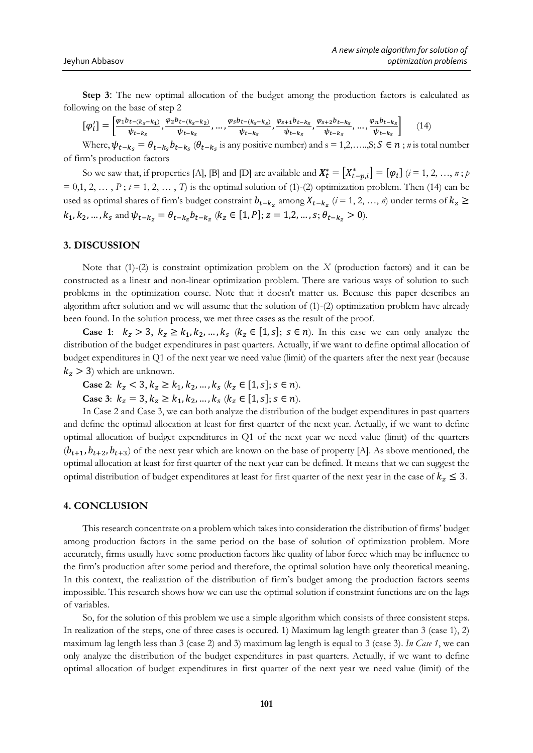**Step 3**: The new optimal allocation of the budget among the production factors is calculated as following on the base of step 2

$$
[\varphi'_t] = \left[\frac{\varphi_1 b_{t-(k_S-k_1)}}{\psi_{t-k_S}}, \frac{\varphi_2 b_{t-(k_S-k_2)}}{\psi_{t-k_S}}, \dots, \frac{\varphi_s b_{t-(k_S-k_S)}}{\psi_{t-k_S}}, \frac{\varphi_{s+1} b_{t-k_S}}{\psi_{t-k_S}}, \frac{\varphi_{s+2} b_{t-k_S}}{\psi_{t-k_S}}, \dots, \frac{\varphi_n b_{t-k_S}}{\psi_{t-k_S}}\right] \tag{14}
$$

Where,  $\psi_{t-k_s} = \theta_{t-k_s} b_{t-k_s} (\theta_{t-k_s} \text{ is any positive number})$  and s = 1,2,...,S;  $S \in n$ ; *n* is total number of firm's production factors

So we saw that, if properties [A], [B] and [D] are available and  $\boldsymbol{X}_t^* = \begin{bmatrix} X_{t-p,i}^* \end{bmatrix} = \begin{bmatrix} \varphi_i \end{bmatrix}$   $(i = 1, 2, ..., n; p)$  $= 0,1, 2, \ldots, P$ ;  $t = 1, 2, \ldots, T$ ) is the optimal solution of (1)-(2) optimization problem. Then (14) can be used as optimal shares of firm's budget constraint  $b_{t-k_z}$  among  $X_{t-k_z}$  ( $i = 1, 2, ..., n$ ) under terms of  $k_z$  ≥  $k_1, k_2, ..., k_s$  and  $\psi_{t-k_z} = \theta_{t-k_z} b_{t-k_z}$   $(k_z \in [1, P]; z = 1, 2, ..., s; \theta_{t-k_z} > 0)$ .

#### **3. DISCUSSION**

Note that (1)-(2) is constraint optimization problem on the *X* (production factors) and it can be constructed as a linear and non-linear optimization problem. There are various ways of solution to such problems in the optimization course. Note that it doesn't matter us. Because this paper describes an algorithm after solution and we will assume that the solution of (1)-(2) optimization problem have already been found. In the solution process, we met three cases as the result of the proof.

**Case 1:**  $k_z > 3$ ,  $k_z \ge k_1, k_2, ..., k_s$  ( $k_z \in [1, s]$ ;  $s \in n$ ). In this case we can only analyze the distribution of the budget expenditures in past quarters. Actually, if we want to define optimal allocation of budget expenditures in Q1 of the next year we need value (limit) of the quarters after the next year (because  $k_z > 3$ ) which are unknown.

**Case 2:**  $k_z < 3, k_z \ge k_1, k_2, ..., k_s$  ( $k_z \in [1, s]$ ;  $s \in n$ ). **Case 3**:  $k_z = 3, k_z \ge k_1, k_2, ..., k_s$  ( $k_z \in [1, s]$ ;  $s \in n$ ).

In Case 2 and Case 3, we can both analyze the distribution of the budget expenditures in past quarters and define the optimal allocation at least for first quarter of the next year. Actually, if we want to define optimal allocation of budget expenditures in Q1 of the next year we need value (limit) of the quarters  $(b_{t+1}, b_{t+2}, b_{t+3})$  of the next year which are known on the base of property [A]. As above mentioned, the optimal allocation at least for first quarter of the next year can be defined. It means that we can suggest the optimal distribution of budget expenditures at least for first quarter of the next year in the case of  $k_z \leq 3$ .

### **4. CONCLUSION**

This research concentrate on a problem which takes into consideration the distribution of firms' budget among production factors in the same period on the base of solution of optimization problem. More accurately, firms usually have some production factors like quality of labor force which may be influence to the firm's production after some period and therefore, the optimal solution have only theoretical meaning. In this context, the realization of the distribution of firm's budget among the production factors seems impossible. This research shows how we can use the optimal solution if constraint functions are on the lags of variables.

So, for the solution of this problem we use a simple algorithm which consists of three consistent steps. In realization of the steps, one of three cases is occured. 1) Maximum lag length greater than 3 (case 1), 2) maximum lag length less than 3 (case 2) and 3) maximum lag length is equal to 3 (case 3). *In Case 1*, we can only analyze the distribution of the budget expenditures in past quarters. Actually, if we want to define optimal allocation of budget expenditures in first quarter of the next year we need value (limit) of the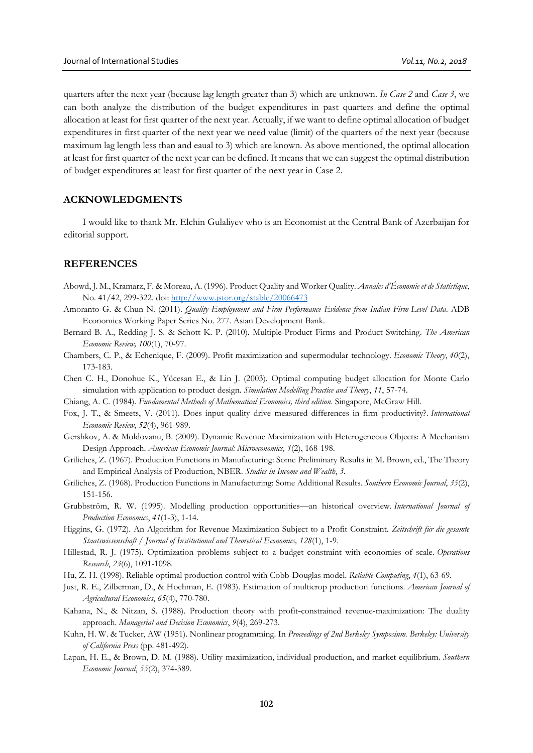quarters after the next year (because lag length greater than 3) which are unknown. *In Case 2* and *Case 3*, we can both analyze the distribution of the budget expenditures in past quarters and define the optimal allocation at least for first quarter of the next year. Actually, if we want to define optimal allocation of budget expenditures in first quarter of the next year we need value (limit) of the quarters of the next year (because maximum lag length less than and eaual to 3) which are known. As above mentioned, the optimal allocation at least for first quarter of the next year can be defined. It means that we can suggest the optimal distribution of budget expenditures at least for first quarter of the next year in Case 2.

## **ACKNOWLEDGMENTS**

I would like to thank Mr. Elchin Gulaliyev who is an Economist at the Central Bank of Azerbaijan for editorial support.

#### **REFERENCES**

- Abowd, J. M., Kramarz, F. & Moreau, A. (1996). Product Quality and Worker Quality. *Annales d'Économie et de Statistique*, No. 41/42, 299-322. doi:<http://www.jstor.org/stable/20066473>
- Amoranto G. & Chun N. (2011). *Quality Employment and Firm Performance Evidence from Indian Firm-Level Data*. ADB Economics Working Paper Series No. 277. Asian Development Bank.
- Bernard B. A., Redding J. S. & Schott K. P. (2010). Multiple-Product Firms and Product Switching. *The American Economic Review, 100*(1), 70-97.
- Chambers, C. P., & Echenique, F. (2009). Profit maximization and supermodular technology. *Economic Theory*, *40*(2), 173-183.
- Chen C. H., Donohue K., Yücesan E., & Lin J. (2003). Optimal computing budget allocation for Monte Carlo simulation with application to product design. *Simulation Modelling Practice and Theory*, *11*, 57-74.
- Chiang, A. C. (1984). *Fundamental Methods of Mathematical Economics, third edition*. Singapore, McGraw Hill.
- Fox, J. T., & Smeets, V. (2011). Does input quality drive measured differences in firm productivity?. *International Economic Review*, *52*(4), 961-989.
- Gershkov, A. & Moldovanu, B. (2009). Dynamic Revenue Maximization with Heterogeneous Objects: A Mechanism Design Approach. *American Economic Journal: Microeconomics, 1*(2), 168-198.
- Griliches, Z. (1967). Production Functions in Manufacturing: Some Preliminary Results in M. Brown, ed., The Theory and Empirical Analysis of Production, NBER. *Studies in Income and Wealth*, *3.*
- Griliches, Z. (1968). Production Functions in Manufacturing: Some Additional Results. *Southern Economic Journal*, *35*(2), 151-156.
- Grubbström, R. W. (1995). Modelling production opportunities—an historical overview. *International Journal of Production Economics*, *41*(1-3), 1-14.
- Higgins, G. (1972). An Algorithm for Revenue Maximization Subject to a Profit Constraint. *Zeitschrift für die gesamte Staatswissenschaft / Journal of Institutional and Theoretical Economics, 128*(1), 1-9.
- Hillestad, R. J. (1975). Optimization problems subject to a budget constraint with economies of scale. *Operations Research*, *23*(6), 1091-1098.
- Hu, Z. H. (1998). Reliable optimal production control with Cobb-Douglas model. *Reliable Computing*, *4*(1), 63-69.
- Just, R. E., Zilberman, D., & Hochman, E. (1983). Estimation of multicrop production functions. *American Journal of Agricultural Economics*, *65*(4), 770-780.
- Kahana, N., & Nitzan, S. (1988). Production theory with profit-constrained revenue-maximization: The duality approach. *Managerial and Decision Economics*, *9*(4), 269-273.
- Kuhn, H. W. & Tucker, AW (1951). Nonlinear programming. In *Proceedings of 2nd Berkeley Symposium. Berkeley: University of California Press* (pp. 481-492).
- Lapan, H. E., & Brown, D. M. (1988). Utility maximization, individual production, and market equilibrium. *Southern Economic Journal*, *55*(2), 374-389.